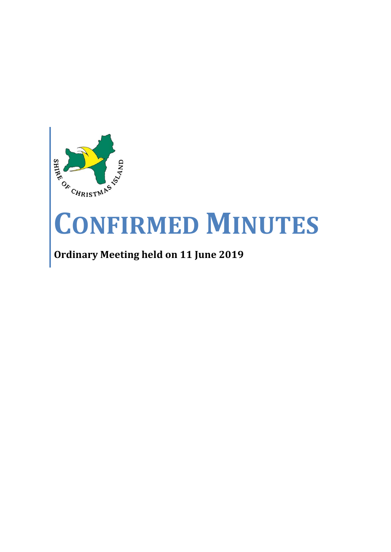

# **CONFIRMED MINUTES**

## **Ordinary Meeting held on 11 June 2019**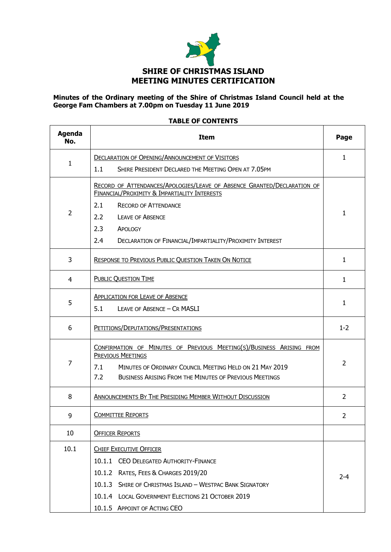

#### **Minutes of the Ordinary meeting of the Shire of Christmas Island Council held at the George Fam Chambers at 7.00pm on Tuesday 11 June 2019**

#### **TABLE OF CONTENTS**

| <b>Agenda</b><br>No. | <b>Item</b>                                                                                                                                                                                                                         | Page           |
|----------------------|-------------------------------------------------------------------------------------------------------------------------------------------------------------------------------------------------------------------------------------|----------------|
|                      | <b>DECLARATION OF OPENING/ANNOUNCEMENT OF VISITORS</b>                                                                                                                                                                              | 1              |
| $\mathbf{1}$         | SHIRE PRESIDENT DECLARED THE MEETING OPEN AT 7.05PM<br>1.1                                                                                                                                                                          |                |
|                      | RECORD OF ATTENDANCES/APOLOGIES/LEAVE OF ABSENCE GRANTED/DECLARATION OF<br><b>FINANCIAL/PROXIMITY &amp; IMPARTIALITY INTERESTS</b>                                                                                                  |                |
| $\overline{2}$       | 2.1<br><b>RECORD OF ATTENDANCE</b>                                                                                                                                                                                                  | 1              |
|                      | $2.2^{\circ}$<br><b>LEAVE OF ABSENCE</b>                                                                                                                                                                                            |                |
|                      | 2.3<br>APOLOGY                                                                                                                                                                                                                      |                |
|                      | 2.4<br>DECLARATION OF FINANCIAL/IMPARTIALITY/PROXIMITY INTEREST                                                                                                                                                                     |                |
| 3                    | <b>RESPONSE TO PREVIOUS PUBLIC QUESTION TAKEN ON NOTICE</b>                                                                                                                                                                         | $\mathbf{1}$   |
| 4                    | <b>PUBLIC QUESTION TIME</b>                                                                                                                                                                                                         | $\mathbf{1}$   |
| 5                    | <b>APPLICATION FOR LEAVE OF ABSENCE</b><br>5.1<br>LEAVE OF ABSENCE - CR MASLI                                                                                                                                                       | $\mathbf{1}$   |
| 6                    | PETITIONS/DEPUTATIONS/PRESENTATIONS                                                                                                                                                                                                 | $1 - 2$        |
| 7                    | CONFIRMATION OF MINUTES OF PREVIOUS MEETING(S)/BUSINESS ARISING FROM<br>PREVIOUS MEETINGS<br>MINUTES OF ORDINARY COUNCIL MEETING HELD ON 21 MAY 2019<br>7.1<br>7.2<br><b>BUSINESS ARISING FROM THE MINUTES OF PREVIOUS MEETINGS</b> | 2              |
| 8                    | ANNOUNCEMENTS BY THE PRESIDING MEMBER WITHOUT DISCUSSION                                                                                                                                                                            | 2              |
| 9                    | <b>COMMITTEE REPORTS</b>                                                                                                                                                                                                            | $\overline{2}$ |
| 10                   | <b>OFFICER REPORTS</b>                                                                                                                                                                                                              |                |
| 10.1                 | <b>CHIEF EXECUTIVE OFFICER</b>                                                                                                                                                                                                      |                |
|                      | 10.1.1 CEO DELEGATED AUTHORITY-FINANCE                                                                                                                                                                                              |                |
|                      | 10.1.2 RATES, FEES & CHARGES 2019/20                                                                                                                                                                                                | $2 - 4$        |
|                      | 10.1.3 SHIRE OF CHRISTMAS ISLAND - WESTPAC BANK SIGNATORY                                                                                                                                                                           |                |
|                      | 10.1.4 LOCAL GOVERNMENT ELECTIONS 21 OCTOBER 2019                                                                                                                                                                                   |                |
|                      | 10.1.5 APPOINT OF ACTING CEO                                                                                                                                                                                                        |                |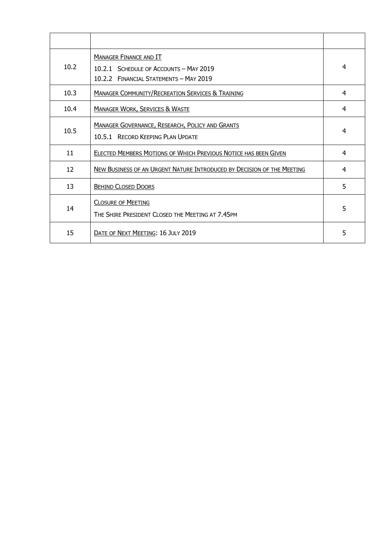| 10.2 | <b>MANAGER FINANCE AND IT</b><br>10.2.1 SCHEDULE OF ACCOUNTS - MAY 2019<br>10.2.2 FINANCIAL STATEMENTS - MAY 2019 | 4 |
|------|-------------------------------------------------------------------------------------------------------------------|---|
| 10.3 | <b>MANAGER COMMUNITY/RECREATION SERVICES &amp; TRAINING</b>                                                       | 4 |
| 10.4 | <b>MANAGER WORK, SERVICES &amp; WASTE</b>                                                                         | 4 |
| 10.5 | <b>MANAGER GOVERNANCE, RESEARCH, POLICY AND GRANTS</b><br>10.5.1 RECORD KEEPING PLAN UPDATE                       | 4 |
| 11   | ELECTED MEMBERS MOTIONS OF WHICH PREVIOUS NOTICE HAS BEEN GIVEN                                                   | 4 |
| 12   | NEW BUSINESS OF AN URGENT NATURE INTRODUCED BY DECISION OF THE MEETING                                            | 4 |
| 13   | <b>BEHIND CLOSED DOORS</b>                                                                                        | 5 |
| 14   | <b>CLOSURE OF MEETING</b><br>THE SHIRE PRESIDENT CLOSED THE MEETING AT 7.45PM                                     | 5 |
| 15   | DATE OF NEXT MEETING: 16 JULY 2019                                                                                | 5 |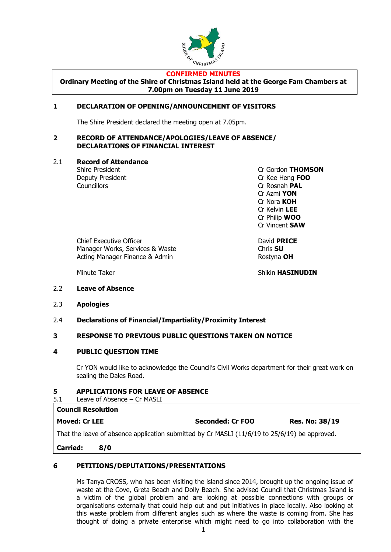

#### **CONFIRMED MINUTES**

**Ordinary Meeting of the Shire of Christmas Island held at the George Fam Chambers at 7.00pm on Tuesday 11 June 2019**

#### **1 DECLARATION OF OPENING/ANNOUNCEMENT OF VISITORS**

The Shire President declared the meeting open at 7.05pm.

#### **2 RECORD OF ATTENDANCE/APOLOGIES/LEAVE OF ABSENCE/ DECLARATIONS OF FINANCIAL INTEREST**

#### 2.1 **Record of Attendance**

Councillors **Councillors** Cr Rosnah **PAL** 

Shire President Cr Gordon **THOMSON** Deputy President Cr Kee Heng **FOO** Cr Azmi **YON** Cr Nora **KOH** Cr Kelvin **LEE** Cr Philip **WOO** Cr Vincent **SAW**

Chief Executive Officer David **PRICE** Manager Works, Services & Waste **Chris SU** Acting Manager Finance & Admin Rostyna OH

Minute Taker **Number of the Shikin HASINUDIN** 

- 2.2 **Leave of Absence**
- 2.3 **Apologies**
- 2.4 **Declarations of Financial/Impartiality/Proximity Interest**

#### **3 RESPONSE TO PREVIOUS PUBLIC QUESTIONS TAKEN ON NOTICE**

#### **4 PUBLIC QUESTION TIME**

Cr YON would like to acknowledge the Council's Civil Works department for their great work on sealing the Dales Road.

#### **5 APPLICATIONS FOR LEAVE OF ABSENCE**

#### 5.1 Leave of Absence – Cr MASLI

| <b>Council Resolution</b>                                                                     |                  |                       |
|-----------------------------------------------------------------------------------------------|------------------|-----------------------|
| <b>Moved: Cr LEE</b>                                                                          | Seconded: Cr FOO | <b>Res. No: 38/19</b> |
| That the leave of absence application submitted by Cr MASLI (11/6/19 to 25/6/19) be approved. |                  |                       |

**Carried: 8/0**

#### **6 PETITIONS/DEPUTATIONS/PRESENTATIONS**

Ms Tanya CROSS, who has been visiting the island since 2014, brought up the ongoing issue of waste at the Cove, Greta Beach and Dolly Beach. She advised Council that Christmas Island is a victim of the global problem and are looking at possible connections with groups or organisations externally that could help out and put initiatives in place locally. Also looking at this waste problem from different angles such as where the waste is coming from. She has thought of doing a private enterprise which might need to go into collaboration with the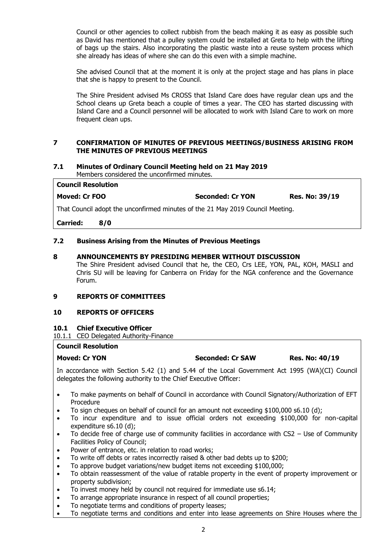Council or other agencies to collect rubbish from the beach making it as easy as possible such as David has mentioned that a pulley system could be installed at Greta to help with the lifting of bags up the stairs. Also incorporating the plastic waste into a reuse system process which she already has ideas of where she can do this even with a simple machine.

She advised Council that at the moment it is only at the project stage and has plans in place that she is happy to present to the Council.

The Shire President advised Ms CROSS that Island Care does have regular clean ups and the School cleans up Greta beach a couple of times a year. The CEO has started discussing with Island Care and a Council personnel will be allocated to work with Island Care to work on more frequent clean ups.

#### **7 CONFIRMATION OF MINUTES OF PREVIOUS MEETINGS/BUSINESS ARISING FROM THE MINUTES OF PREVIOUS MEETINGS**

## **7.1 Minutes of Ordinary Council Meeting held on 21 May 2019**

Members considered the unconfirmed minutes.

| Council Resolution |                         |                       |
|--------------------|-------------------------|-----------------------|
| Moved: Cr FOO      | <b>Seconded: Cr YON</b> | <b>Res. No: 39/19</b> |

That Council adopt the unconfirmed minutes of the 21 May 2019 Council Meeting.

**Carried: 8/0**

#### **7.2 Business Arising from the Minutes of Previous Meetings**

#### **8 ANNOUNCEMENTS BY PRESIDING MEMBER WITHOUT DISCUSSION**

The Shire President advised Council that he, the CEO, Crs LEE, YON, PAL, KOH, MASLI and Chris SU will be leaving for Canberra on Friday for the NGA conference and the Governance Forum.

#### **9 REPORTS OF COMMITTEES**

#### **10 REPORTS OF OFFICERS**

#### **10.1 Chief Executive Officer**

10.1.1 CEO Delegated Authority-Finance

#### **Council Resolution**

In accordance with Section 5.42 (1) and 5.44 of the Local Government Act 1995 (WA)(CI) Council delegates the following authority to the Chief Executive Officer:

- To make payments on behalf of Council in accordance with Council Signatory/Authorization of EFT Procedure
- To sign cheques on behalf of council for an amount not exceeding \$100,000 s6.10 (d):
- To incur expenditure and to issue official orders not exceeding \$100,000 for non-capital expenditure s6.10 (d);
- To decide free of charge use of community facilities in accordance with CS2 Use of Community Facilities Policy of Council;
- Power of entrance, etc. in relation to road works;
- To write off debts or rates incorrectly raised & other bad debts up to \$200;
- To approve budget variations/new budget items not exceeding \$100,000;
- To obtain reassessment of the value of ratable property in the event of property improvement or property subdivision;
- To invest money held by council not required for immediate use s6.14;
- To arrange appropriate insurance in respect of all council properties;
- To negotiate terms and conditions of property leases;
- To negotiate terms and conditions and enter into lease agreements on Shire Houses where the

**Moved: Cr YON Seconded: Cr SAW Res. No: 40/19**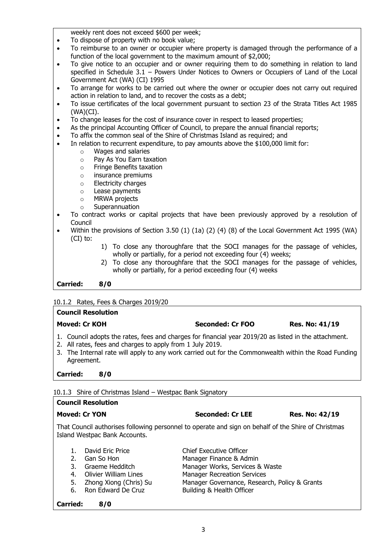weekly rent does not exceed \$600 per week;

- To dispose of property with no book value:
- To reimburse to an owner or occupier where property is damaged through the performance of a function of the local government to the maximum amount of \$2,000;
- To give notice to an occupier and or owner requiring them to do something in relation to land specified in Schedule 3.1 – Powers Under Notices to Owners or Occupiers of Land of the Local Government Act (WA) (CI) 1995
- To arrange for works to be carried out where the owner or occupier does not carry out required action in relation to land, and to recover the costs as a debt;
- To issue certificates of the local government pursuant to section 23 of the Strata Titles Act 1985 (WA)(CI).
- To change leases for the cost of insurance cover in respect to leased properties:
- As the principal Accounting Officer of Council, to prepare the annual financial reports;
- To affix the common seal of the Shire of Christmas Island as required; and
- In relation to recurrent expenditure, to pay amounts above the \$100,000 limit for:
	- o Wages and salaries
	- o Pay As You Earn taxation
	- o Fringe Benefits taxation
	- o insurance premiums
	- o Electricity charges
	- o Lease payments
	- o MRWA projects
	- o Superannuation
- To contract works or capital projects that have been previously approved by a resolution of Council
- Within the provisions of Section 3.50 (1) (1a) (2) (4) (8) of the Local Government Act 1995 (WA) (CI) to:
	- 1) To close any thoroughfare that the SOCI manages for the passage of vehicles, wholly or partially, for a period not exceeding four (4) weeks;
	- 2) To close any thoroughfare that the SOCI manages for the passage of vehicles, wholly or partially, for a period exceeding four (4) weeks

**Carried: 8/0**

10.1.2 Rates, Fees & Charges 2019/20

# **Council Resolution Moved: Cr KOH Seconded: Cr FOO Res. No: 41/19**

- 1. Council adopts the rates, fees and charges for financial year 2019/20 as listed in the attachment.
- 2. All rates, fees and charges to apply from 1 July 2019.
- 3. The Internal rate will apply to any work carried out for the Commonwealth within the Road Funding Agreement.

**Carried: 8/0**

10.1.3 Shire of Christmas Island – Westpac Bank Signatory

#### **Council Resolution**

That Council authorises following personnel to operate and sign on behalf of the Shire of Christmas Island Westpac Bank Accounts.

- 1. David Eric Price **Chief Executive Officer**
- 2. Gan So Hon Manager Finance & Admin
- 3. Graeme Hedditch Manager Works, Services & Waste
- 4. Olivier William Lines Manager Recreation Services
- 5. Zhong Xiong (Chris) Su Manager Governance, Research, Policy & Grants
- 6. Ron Edward De Cruz Building & Health Officer

#### **Carried: 8/0**

**Moved: Cr YON Seconded: Cr LEE Res. No: 42/19**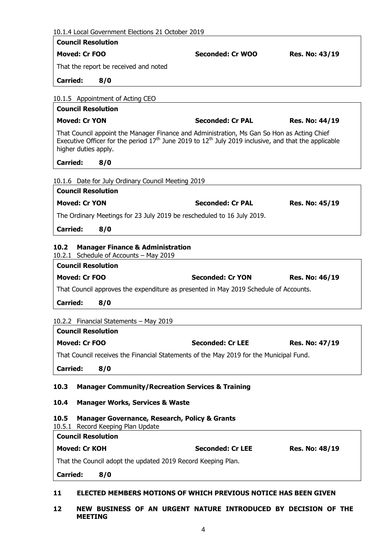| 10.1.4 Local Government Elections 21 October 2019                                                                                                                                                                              |                         |                |
|--------------------------------------------------------------------------------------------------------------------------------------------------------------------------------------------------------------------------------|-------------------------|----------------|
| <b>Council Resolution</b>                                                                                                                                                                                                      |                         |                |
| <b>Moved: Cr FOO</b>                                                                                                                                                                                                           | Seconded: Cr WOO        | Res. No: 43/19 |
| That the report be received and noted                                                                                                                                                                                          |                         |                |
| <b>Carried:</b><br>8/0                                                                                                                                                                                                         |                         |                |
| 10.1.5 Appointment of Acting CEO                                                                                                                                                                                               |                         |                |
| <b>Council Resolution</b>                                                                                                                                                                                                      |                         |                |
| <b>Moved: Cr YON</b>                                                                                                                                                                                                           | <b>Seconded: Cr PAL</b> | Res. No: 44/19 |
| That Council appoint the Manager Finance and Administration, Ms Gan So Hon as Acting Chief<br>Executive Officer for the period $17th$ June 2019 to $12th$ July 2019 inclusive, and that the applicable<br>higher duties apply. |                         |                |
| <b>Carried:</b><br>8/0                                                                                                                                                                                                         |                         |                |
| 10.1.6 Date for July Ordinary Council Meeting 2019                                                                                                                                                                             |                         |                |
| <b>Council Resolution</b>                                                                                                                                                                                                      |                         |                |
| <b>Moved: Cr YON</b>                                                                                                                                                                                                           | <b>Seconded: Cr PAL</b> | Res. No: 45/19 |
| The Ordinary Meetings for 23 July 2019 be rescheduled to 16 July 2019.                                                                                                                                                         |                         |                |
| <b>Carried:</b><br>8/0                                                                                                                                                                                                         |                         |                |
|                                                                                                                                                                                                                                |                         |                |
| <b>Manager Finance &amp; Administration</b><br>10.2                                                                                                                                                                            |                         |                |
|                                                                                                                                                                                                                                |                         |                |
| 10.2.1 Schedule of Accounts - May 2019<br><b>Council Resolution</b>                                                                                                                                                            |                         |                |
| <b>Moved: Cr FOO</b>                                                                                                                                                                                                           | <b>Seconded: Cr YON</b> | Res. No: 46/19 |
| That Council approves the expenditure as presented in May 2019 Schedule of Accounts.                                                                                                                                           |                         |                |
|                                                                                                                                                                                                                                |                         |                |
| <b>Carried:</b><br>8/0                                                                                                                                                                                                         |                         |                |
| 10.2.2 Financial Statements - May 2019                                                                                                                                                                                         |                         |                |
| <b>Council Resolution</b>                                                                                                                                                                                                      |                         |                |
| <b>Moved: Cr FOO</b>                                                                                                                                                                                                           | <b>Seconded: Cr LEE</b> | Res. No: 47/19 |
| That Council receives the Financial Statements of the May 2019 for the Municipal Fund.                                                                                                                                         |                         |                |
| <b>Carried:</b><br>8/0                                                                                                                                                                                                         |                         |                |
|                                                                                                                                                                                                                                |                         |                |
| <b>Manager Community/Recreation Services &amp; Training</b><br>10.3                                                                                                                                                            |                         |                |
| 10.4<br><b>Manager Works, Services &amp; Waste</b>                                                                                                                                                                             |                         |                |
| 10.5<br><b>Manager Governance, Research, Policy &amp; Grants</b><br>10.5.1 Record Keeping Plan Update                                                                                                                          |                         |                |
| <b>Council Resolution</b>                                                                                                                                                                                                      |                         |                |
| <b>Moved: Cr KOH</b>                                                                                                                                                                                                           | <b>Seconded: Cr LEE</b> | Res. No: 48/19 |
| That the Council adopt the updated 2019 Record Keeping Plan.                                                                                                                                                                   |                         |                |

**12 NEW BUSINESS OF AN URGENT NATURE INTRODUCED BY DECISION OF THE MEETING**